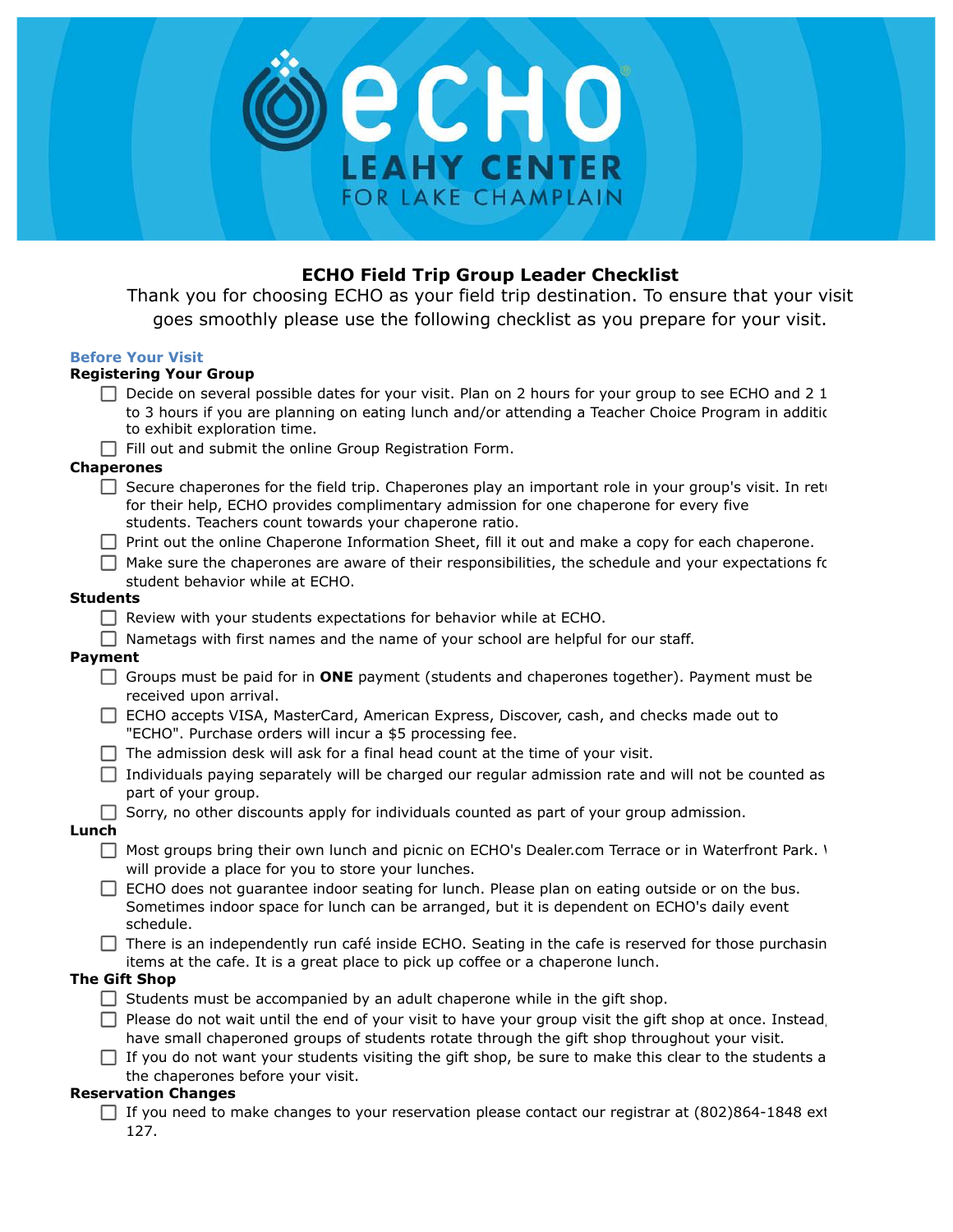

## **ECHO Field Trip Group Leader Checklist**

Thank you for choosing ECHO as your field trip destination. To ensure that your visit goes smoothly please use the following checklist as you prepare for your visit.

#### **Before Your Visit**

# **Registering Your Group**

|                      | Registering Tour Group                                                                                                                                                                                                                                     |
|----------------------|------------------------------------------------------------------------------------------------------------------------------------------------------------------------------------------------------------------------------------------------------------|
|                      | $\Box$ Decide on several possible dates for your visit. Plan on 2 hours for your group to see ECHO and 2 1<br>to 3 hours if you are planning on eating lunch and/or attending a Teacher Choice Program in addition                                         |
|                      | to exhibit exploration time.                                                                                                                                                                                                                               |
|                      | $\Box$ Fill out and submit the online Group Registration Form.                                                                                                                                                                                             |
| <b>Chaperones</b>    |                                                                                                                                                                                                                                                            |
| $\Box$               | Secure chaperones for the field trip. Chaperones play an important role in your group's visit. In reti<br>for their help, ECHO provides complimentary admission for one chaperone for every five<br>students. Teachers count towards your chaperone ratio. |
|                      | □ Print out the online Chaperone Information Sheet, fill it out and make a copy for each chaperone.                                                                                                                                                        |
|                      | $\Box$ Make sure the chaperones are aware of their responsibilities, the schedule and your expectations for<br>student behavior while at ECHO.                                                                                                             |
| Students             |                                                                                                                                                                                                                                                            |
|                      | $\Box$ Review with your students expectations for behavior while at ECHO.                                                                                                                                                                                  |
|                      | Nametags with first names and the name of your school are helpful for our staff.                                                                                                                                                                           |
| <b>Payment</b>       |                                                                                                                                                                                                                                                            |
|                      | Groups must be paid for in ONE payment (students and chaperones together). Payment must be<br>received upon arrival.                                                                                                                                       |
|                      | ECHO accepts VISA, MasterCard, American Express, Discover, cash, and checks made out to<br>"ECHO". Purchase orders will incur a \$5 processing fee.                                                                                                        |
|                      | $\Box$ The admission desk will ask for a final head count at the time of your visit.                                                                                                                                                                       |
| $\Box$               | Individuals paying separately will be charged our regular admission rate and will not be counted as<br>part of your group.                                                                                                                                 |
|                      | Sorry, no other discounts apply for individuals counted as part of your group admission.                                                                                                                                                                   |
| Lunch                |                                                                                                                                                                                                                                                            |
|                      | □ Most groups bring their own lunch and picnic on ECHO's Dealer.com Terrace or in Waterfront Park. 1<br>will provide a place for you to store your lunches.                                                                                                |
|                      | $\Box$ ECHO does not guarantee indoor seating for lunch. Please plan on eating outside or on the bus.<br>Sometimes indoor space for lunch can be arranged, but it is dependent on ECHO's daily event<br>schedule.                                          |
|                      | $\Box$ There is an independently run café inside ECHO. Seating in the cafe is reserved for those purchasin<br>items at the cafe. It is a great place to pick up coffee or a chaperone lunch.                                                               |
| <b>The Gift Shop</b> |                                                                                                                                                                                                                                                            |
|                      | $\Box$ Students must be accompanied by an adult chaperone while in the gift shop.                                                                                                                                                                          |
|                      | $\Box$ Please do not wait until the end of your visit to have your group visit the gift shop at once. Instead,<br>have small chaperoned groups of students rotate through the gift shop throughout your visit.                                             |
|                      | If you do not want your students visiting the gift shop, be sure to make this clear to the students a<br>the chaperones before your visit.                                                                                                                 |
|                      | <b>Reservation Changes</b>                                                                                                                                                                                                                                 |

□ If you need to make changes to your reservation please contact our registrar at (802)864-1848 ext 127.